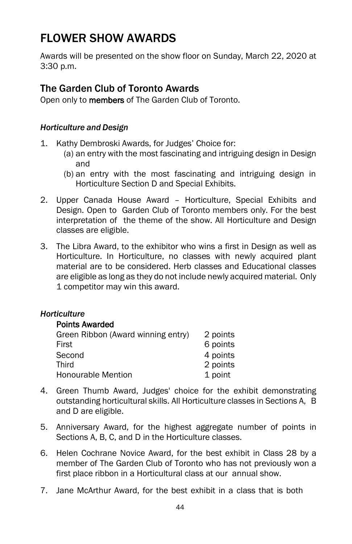# FLOWER SHOW AWARDS

Awards will be presented on the show floor on Sunday, March 22, 2020 at 3:30 p.m.

# The Garden Club of Toronto Awards

Open only to **members** of The Garden Club of Toronto.

#### *Horticulture and Design*

- 1. Kathy Dembroski Awards, for Judges' Choice for:
	- (a) an entry with the most fascinating and intriguing design in Design and
	- (b) an entry with the most fascinating and intriguing design in Horticulture Section D and Special Exhibits.
- 2. Upper Canada House Award Horticulture, Special Exhibits and Design. Open to Garden Club of Toronto members only. For the best interpretation of the theme of the show. All Horticulture and Design classes are eligible.
- 3. The Libra Award, to the exhibitor who wins a first in Design as well as Horticulture. In Horticulture, no classes with newly acquired plant material are to be considered. Herb classes and Educational classes are eligible as long as they do not include newly acquired material. Only 1 competitor may win this award.

## *Horticulture*

#### Points Awarded

| Green Ribbon (Award winning entry) | 2 points |
|------------------------------------|----------|
| First                              | 6 points |
| Second                             | 4 points |
| Third                              | 2 points |
| Honourable Mention                 | 1 point  |

- 4. Green Thumb Award, Judges' choice for the exhibit demonstrating outstanding horticultural skills. All Horticulture classes in Sections A, B and D are eligible.
- 5. Anniversary Award, for the highest aggregate number of points in Sections A, B, C, and D in the Horticulture classes.
- 6. Helen Cochrane Novice Award, for the best exhibit in Class 28 by a member of The Garden Club of Toronto who has not previously won a first place ribbon in a Horticultural class at our annual show.
- 7. Jane McArthur Award, for the best exhibit in a class that is both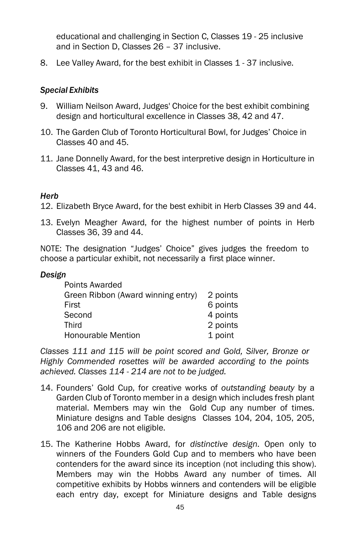educational and challenging in Section C, Classes 19 - 25 inclusive and in Section D, Classes 26 – 37 inclusive.

8. Lee Valley Award, for the best exhibit in Classes 1 - 37 inclusive.

#### *Special Exhibits*

- 9. William Neilson Award, Judges' Choice for the best exhibit combining design and horticultural excellence in Classes 38, 42 and 47.
- 10. The Garden Club of Toronto Horticultural Bowl, for Judges' Choice in Classes 40 and 45.
- 11. Jane Donnelly Award, for the best interpretive design in Horticulture in Classes 41, 43 and 46.

#### *Herb*

12. Elizabeth Bryce Award, for the best exhibit in Herb Classes 39 and 44.

13. Evelyn Meagher Award, for the highest number of points in Herb Classes 36, 39 and 44.

NOTE: The designation "Judges' Choice" gives judges the freedom to choose a particular exhibit, not necessarily a first place winner.

#### *Design*

| Points Awarded                     |          |
|------------------------------------|----------|
| Green Ribbon (Award winning entry) | 2 points |
| First                              | 6 points |
| Second                             | 4 points |
| Third                              | 2 points |
| <b>Honourable Mention</b>          | 1 point  |

*Classes 111 and 115 will be point scored and Gold, Silver, Bronze or Highly Commended rosettes will be awarded according to the points achieved. Classes 114 - 214 are not to be judged.*

- 14. Founders' Gold Cup, for creative works of *outstanding beauty* by a Garden Club of Toronto member in a design which includes fresh plant material. Members may win the Gold Cup any number of times. Miniature designs and Table designs Classes 104, 204, 105, 205, 106 and 206 are not eligible.
- 15. The Katherine Hobbs Award, for *distinctive design*. Open only to winners of the Founders Gold Cup and to members who have been contenders for the award since its inception (not including this show). Members may win the Hobbs Award any number of times. All competitive exhibits by Hobbs winners and contenders will be eligible each entry day, except for Miniature designs and Table designs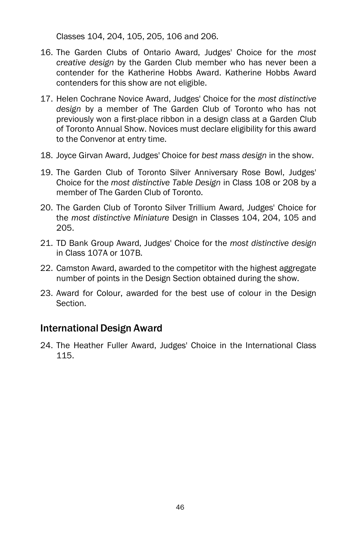Classes 104, 204, 105, 205, 106 and 206.

- 16. The Garden Clubs of Ontario Award, Judges' Choice for the *most creative design* by the Garden Club member who has never been a contender for the Katherine Hobbs Award. Katherine Hobbs Award contenders for this show are not eligible.
- 17. Helen Cochrane Novice Award, Judges' Choice for the *most distinctive design* by a member of The Garden Club of Toronto who has not previously won a first-place ribbon in a design class at a Garden Club of Toronto Annual Show. Novices must declare eligibility for this award to the Convenor at entry time.
- 18. Joyce Girvan Award, Judges' Choice for *best mass design* in the show.
- 19. The Garden Club of Toronto Silver Anniversary Rose Bowl, Judges' Choice for the *most distinctive Table Design* in Class 108 or 208 by a member of The Garden Club of Toronto.
- 20. The Garden Club of Toronto Silver Trillium Award, Judges' Choice for the *most distinctive Miniature* Design in Classes 104, 204, 105 and 205.
- 21. TD Bank Group Award, Judges' Choice for the *most distinctive design* in Class 107A or 107B.
- 22. Camston Award, awarded to the competitor with the highest aggregate number of points in the Design Section obtained during the show.
- 23. Award for Colour, awarded for the best use of colour in the Design **Section**

# International Design Award

24. The Heather Fuller Award, Judges' Choice in the International Class 115.